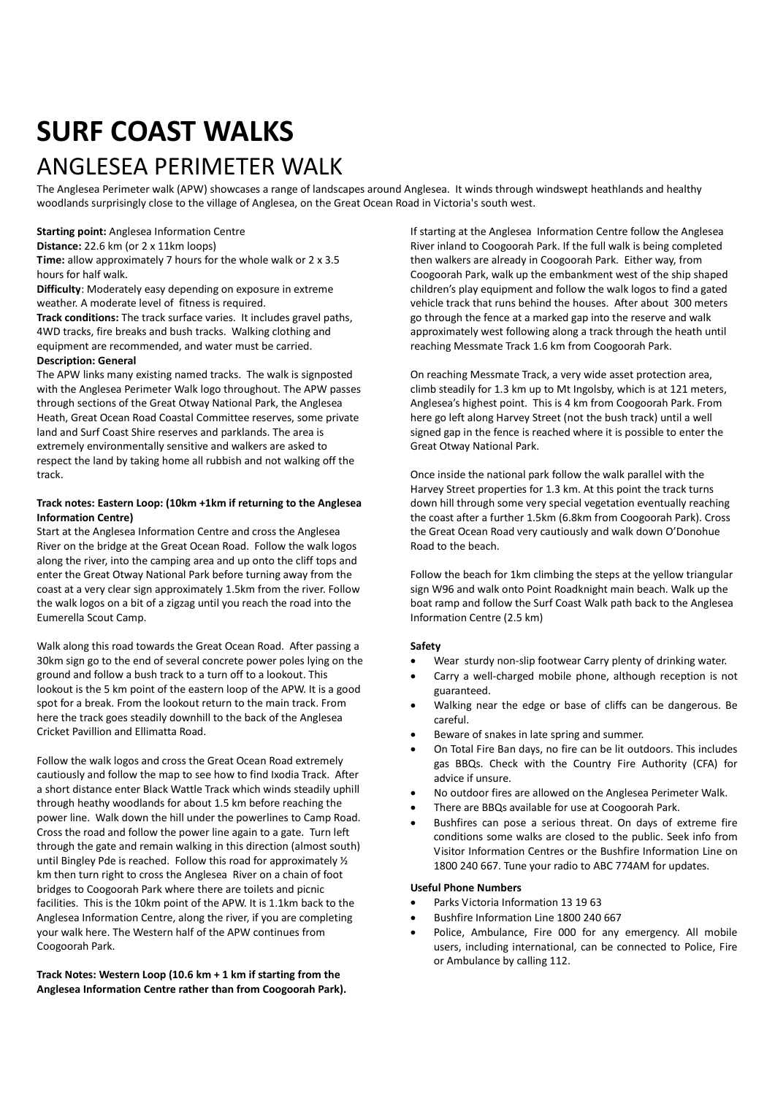# **SURF COAST WALKS**

### ANGLESEA PERIMETER WALK

The Anglesea Perimeter walk (APW) showcases a range of landscapes around Anglesea. It winds through windswept heathlands and healthy woodlands surprisingly close to the village of Anglesea, on the Great Ocean Road in Victoria's south west.

**Starting point:** Anglesea Information Centre

**Distance:** 22.6 km (or 2 x 11km loops)

**Time:** allow approximately 7 hours for the whole walk or 2 x 3.5 hours for half walk.

**Difficulty**: Moderately easy depending on exposure in extreme weather. A moderate level of fitness is required.

**Track conditions:** The track surface varies. It includes gravel paths, 4WD tracks, fire breaks and bush tracks. Walking clothing and equipment are recommended, and water must be carried.

#### **Description: General**

The APW links many existing named tracks. The walk is signposted with the Anglesea Perimeter Walk logo throughout. The APW passes through sections of the Great Otway National Park, the Anglesea Heath, Great Ocean Road Coastal Committee reserves, some private land and Surf Coast Shire reserves and parklands. The area is extremely environmentally sensitive and walkers are asked to respect the land by taking home all rubbish and not walking off the track.

#### **Track notes: Eastern Loop: (10km +1km if returning to the Anglesea Information Centre)**

Start at the Anglesea Information Centre and cross the Anglesea River on the bridge at the Great Ocean Road. Follow the walk logos along the river, into the camping area and up onto the cliff tops and enter the Great Otway National Park before turning away from the coast at a very clear sign approximately 1.5km from the river. Follow the walk logos on a bit of a zigzag until you reach the road into the Eumerella Scout Camp.

Walk along this road towards the Great Ocean Road. After passing a 30km sign go to the end of several concrete power poles lying on the ground and follow a bush track to a turn off to a lookout. This lookout is the 5 km point of the eastern loop of the APW. It is a good spot for a break. From the lookout return to the main track. From here the track goes steadily downhill to the back of the Anglesea Cricket Pavillion and Ellimatta Road.

Follow the walk logos and cross the Great Ocean Road extremely cautiously and follow the map to see how to find Ixodia Track. After a short distance enter Black Wattle Track which winds steadily uphill through heathy woodlands for about 1.5 km before reaching the power line. Walk down the hill under the powerlines to Camp Road. Cross the road and follow the power line again to a gate. Turn left through the gate and remain walking in this direction (almost south) until Bingley Pde is reached. Follow this road for approximately ½ km then turn right to cross the Anglesea River on a chain of foot bridges to Coogoorah Park where there are toilets and picnic facilities. This is the 10km point of the APW. It is 1.1km back to the Anglesea Information Centre, along the river, if you are completing your walk here. The Western half of the APW continues from Coogoorah Park.

**Track Notes: Western Loop (10.6 km + 1 km if starting from the Anglesea Information Centre rather than from Coogoorah Park).** If starting at the Anglesea Information Centre follow the Anglesea River inland to Coogoorah Park. If the full walk is being completed then walkers are already in Coogoorah Park. Either way, from Coogoorah Park, walk up the embankment west of the ship shaped children's play equipment and follow the walk logos to find a gated vehicle track that runs behind the houses. After about 300 meters go through the fence at a marked gap into the reserve and walk approximately west following along a track through the heath until reaching Messmate Track 1.6 km from Coogoorah Park.

On reaching Messmate Track, a very wide asset protection area, climb steadily for 1.3 km up to Mt Ingolsby, which is at 121 meters, Anglesea's highest point. This is 4 km from Coogoorah Park. From here go left along Harvey Street (not the bush track) until a well signed gap in the fence is reached where it is possible to enter the Great Otway National Park.

Once inside the national park follow the walk parallel with the Harvey Street properties for 1.3 km. At this point the track turns down hill through some very special vegetation eventually reaching the coast after a further 1.5km (6.8km from Coogoorah Park). Cross the Great Ocean Road very cautiously and walk down O'Donohue Road to the beach.

Follow the beach for 1km climbing the steps at the yellow triangular sign W96 and walk onto Point Roadknight main beach. Walk up the boat ramp and follow the Surf Coast Walk path back to the Anglesea Information Centre (2.5 km)

### **Safety**

- Wear sturdy non-slip footwear Carry plenty of drinking water.
- Carry a well-charged mobile phone, although reception is not guaranteed.
- Walking near the edge or base of cliffs can be dangerous. Be careful.
- Beware of snakes in late spring and summer.
- On Total Fire Ban days, no fire can be lit outdoors. This includes gas BBQs. Check with the Country Fire Authority (CFA) for advice if unsure.
- No outdoor fires are allowed on the Anglesea Perimeter Walk.
- There are BBQs available for use at Coogoorah Park.
- Bushfires can pose a serious threat. On days of extreme fire conditions some walks are closed to the public. Seek info from Visitor Information Centres or the Bushfire Information Line on 1800 240 667. Tune your radio to ABC 774AM for updates.

#### **Useful Phone Numbers**

- Parks Victoria Information 13 19 63
- Bushfire Information Line 1800 240 667
- Police, Ambulance, Fire 000 for any emergency. All mobile users, including international, can be connected to Police, Fire or Ambulance by calling 112.